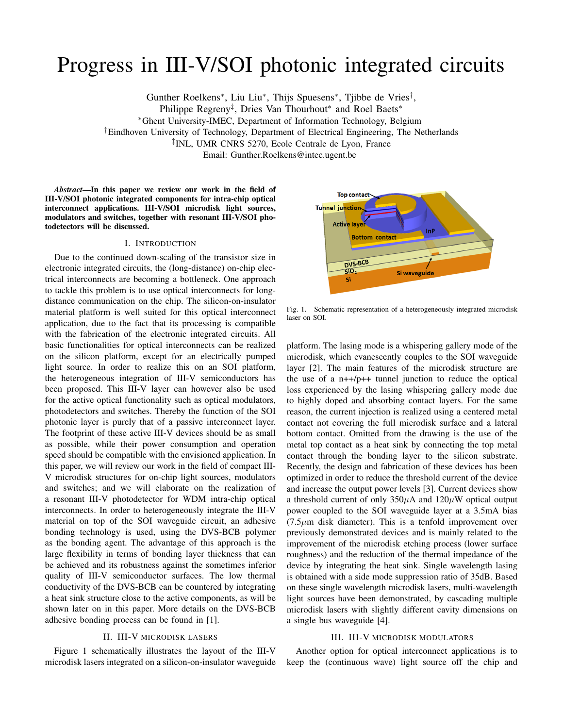# Progress in III-V/SOI photonic integrated circuits

Gunther Roelkens<sup>∗</sup> , Liu Liu<sup>∗</sup> , Thijs Spuesens<sup>∗</sup> , Tjibbe de Vries† ,

Philippe Regreny<sup>‡</sup>, Dries Van Thourhout<sup>\*</sup> and Roel Baets<sup>\*</sup>

<sup>∗</sup>Ghent University-IMEC, Department of Information Technology, Belgium

†Eindhoven University of Technology, Department of Electrical Engineering, The Netherlands

‡ INL, UMR CNRS 5270, Ecole Centrale de Lyon, France

Email: Gunther.Roelkens@intec.ugent.be

*Abstract*—In this paper we review our work in the field of III-V/SOI photonic integrated components for intra-chip optical interconnect applications. III-V/SOI microdisk light sources, modulators and switches, together with resonant III-V/SOI photodetectors will be discussed.

# I. INTRODUCTION

Due to the continued down-scaling of the transistor size in electronic integrated circuits, the (long-distance) on-chip electrical interconnects are becoming a bottleneck. One approach to tackle this problem is to use optical interconnects for longdistance communication on the chip. The silicon-on-insulator material platform is well suited for this optical interconnect application, due to the fact that its processing is compatible with the fabrication of the electronic integrated circuits. All basic functionalities for optical interconnects can be realized on the silicon platform, except for an electrically pumped light source. In order to realize this on an SOI platform, the heterogeneous integration of III-V semiconductors has been proposed. This III-V layer can however also be used for the active optical functionality such as optical modulators, photodetectors and switches. Thereby the function of the SOI photonic layer is purely that of a passive interconnect layer. The footprint of these active III-V devices should be as small as possible, while their power consumption and operation speed should be compatible with the envisioned application. In this paper, we will review our work in the field of compact III-V microdisk structures for on-chip light sources, modulators and switches; and we will elaborate on the realization of a resonant III-V photodetector for WDM intra-chip optical interconnects. In order to heterogeneously integrate the III-V material on top of the SOI waveguide circuit, an adhesive bonding technology is used, using the DVS-BCB polymer as the bonding agent. The advantage of this approach is the large flexibility in terms of bonding layer thickness that can be achieved and its robustness against the sometimes inferior quality of III-V semiconductor surfaces. The low thermal conductivity of the DVS-BCB can be countered by integrating a heat sink structure close to the active components, as will be shown later on in this paper. More details on the DVS-BCB adhesive bonding process can be found in [1].

# II. III-V MICRODISK LASERS

Figure 1 schematically illustrates the layout of the III-V microdisk lasers integrated on a silicon-on-insulator waveguide



Fig. 1. Schematic representation of a heterogeneously integrated microdisk laser on SOI.

platform. The lasing mode is a whispering gallery mode of the microdisk, which evanescently couples to the SOI waveguide layer [2]. The main features of the microdisk structure are the use of a n++/p++ tunnel junction to reduce the optical loss experienced by the lasing whispering gallery mode due to highly doped and absorbing contact layers. For the same reason, the current injection is realized using a centered metal contact not covering the full microdisk surface and a lateral bottom contact. Omitted from the drawing is the use of the metal top contact as a heat sink by connecting the top metal contact through the bonding layer to the silicon substrate. Recently, the design and fabrication of these devices has been optimized in order to reduce the threshold current of the device and increase the output power levels [3]. Current devices show a threshold current of only  $350\mu A$  and  $120\mu W$  optical output power coupled to the SOI waveguide layer at a 3.5mA bias  $(7.5\mu m)$  disk diameter). This is a tenfold improvement over previously demonstrated devices and is mainly related to the improvement of the microdisk etching process (lower surface roughness) and the reduction of the thermal impedance of the device by integrating the heat sink. Single wavelength lasing is obtained with a side mode suppression ratio of 35dB. Based on these single wavelength microdisk lasers, multi-wavelength light sources have been demonstrated, by cascading multiple microdisk lasers with slightly different cavity dimensions on a single bus waveguide [4].

# III. III-V MICRODISK MODULATORS

Another option for optical interconnect applications is to keep the (continuous wave) light source off the chip and